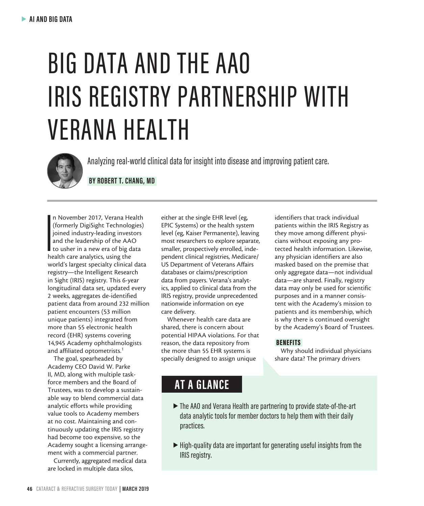# BIG DATA AND THE AAO IRIS REGISTRY PARTNERSHIP WITH VERANA HEALTH



Analyzing real-world clinical data for insight into disease and improving patient care.

 **BY ROBERT T. CHANG, MD** 

**I**<br>Index<br>Index n November 2017, Verana Health (formerly DigiSight Technologies) joined industry-leading investors and the leadership of the AAO to usher in a new era of big data health care analytics, using the world's largest specialty clinical data registry—the Intelligent Research in Sight (IRIS) registry. This 6-year longitudinal data set, updated every 2 weeks, aggregates de-identified patient data from around 232 million patient encounters (53 million unique patients) integrated from more than 55 electronic health record (EHR) systems covering 14,945 Academy ophthalmologists and affiliated optometrists.<sup>1</sup>

The goal, spearheaded by Academy CEO David W. Parke II, MD, along with multiple taskforce members and the Board of Trustees, was to develop a sustainable way to blend commercial data analytic efforts while providing value tools to Academy members at no cost. Maintaining and continuously updating the IRIS registry had become too expensive, so the Academy sought a licensing arrangement with a commercial partner.

Currently, aggregated medical data are locked in multiple data silos,

either at the single EHR level (eg, EPIC Systems) or the health system level (eg, Kaiser Permanente), leaving most researchers to explore separate, smaller, prospectively enrolled, independent clinical registries, Medicare/ US Department of Veterans Affairs databases or claims/prescription data from payers. Verana's analytics, applied to clinical data from the IRIS registry, provide unprecedented nationwide information on eye care delivery.

Whenever health care data are shared, there is concern about potential HIPAA violations. For that reason, the data repository from the more than 55 EHR systems is specially designed to assign unique

identifiers that track individual patients within the IRIS Registry as they move among different physicians without exposing any protected health information. Likewise, any physician identifiers are also masked based on the premise that only aggregate data—not individual data—are shared. Finally, registry data may only be used for scientific purposes and in a manner consistent with the Academy's mission to patients and its membership, which is why there is continued oversight by the Academy's Board of Trustees.

### BENEFITS

Why should individual physicians share data? The primary drivers

### **AT A GLANCE**

- s The AAO and Verana Health are partnering to provide state-of-the-art data analytic tools for member doctors to help them with their daily practices.
- $\blacktriangleright$  High-quality data are important for generating useful insights from the IRIS registry.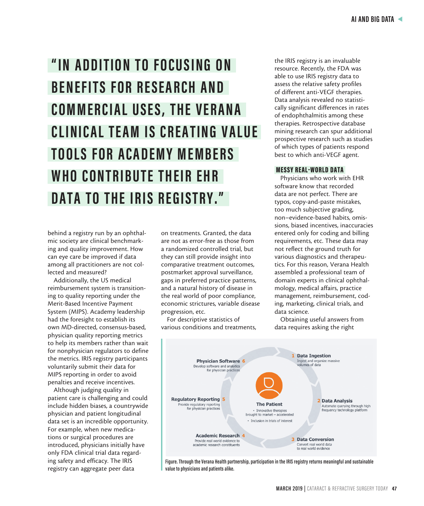## "IN ADDITION TO FOCUSING ON **BENEFITS FOR RESEARCH AND COMMERCIAL USES, THE VERANA CLINICAL TEAM IS CREATING VALUE TOOLS FOR ACADEMY MEMBERS** WHO CONTRIBUTE THEIR EHR **DATA TO THE IRIS REGISTRY."**

behind a registry run by an ophthalmic society are clinical benchmarking and quality improvement. How can eye care be improved if data among all practitioners are not collected and measured?

Additionally, the US medical reimbursement system is transitioning to quality reporting under the Merit-Based Incentive Payment System (MIPS). Academy leadership had the foresight to establish its own MD-directed, consensus-based, physician quality reporting metrics to help its members rather than wait for nonphysician regulators to define the metrics. IRIS registry participants voluntarily submit their data for MIPS reporting in order to avoid penalties and receive incentives.

Although judging quality in patient care is challenging and could include hidden biases, a countrywide physician and patient longitudinal data set is an incredible opportunity. For example, when new medications or surgical procedures are introduced, physicians initially have only FDA clinical trial data regarding safety and efficacy. The IRIS registry can aggregate peer data

on treatments. Granted, the data are not as error-free as those from a randomized controlled trial, but they can still provide insight into comparative treatment outcomes, postmarket approval surveillance, gaps in preferred practice patterns, and a natural history of disease in the real world of poor compliance, economic strictures, variable disease progression, etc.

For descriptive statistics of various conditions and treatments,

the IRIS registry is an invaluable resource. Recently, the FDA was able to use IRIS registry data to assess the relative safety profiles of different anti-VEGF therapies. Data analysis revealed no statistically significant differences in rates of endophthalmitis among these therapies. Retrospective database mining research can spur additional prospective research such as studies of which types of patients respond best to which anti-VEGF agent.

### MESSY REAL-WORLD DATA

Physicians who work with EHR software know that recorded data are not perfect. There are typos, copy-and-paste mistakes, too much subjective grading, non–evidence-based habits, omissions, biased incentives, inaccuracies entered only for coding and billing requirements, etc. These data may not reflect the ground truth for various diagnostics and therapeutics. For this reason, Verana Health assembled a professional team of domain experts in clinical ophthalmology, medical affairs, practice management, reimbursement, coding, marketing, clinical trials, and data science.

Obtaining useful answers from data requires asking the right



**Figure. Through the Verana Health partnership, participation in the IRIS registry returns meaningful and sustainable value to physicians and patients alike.**